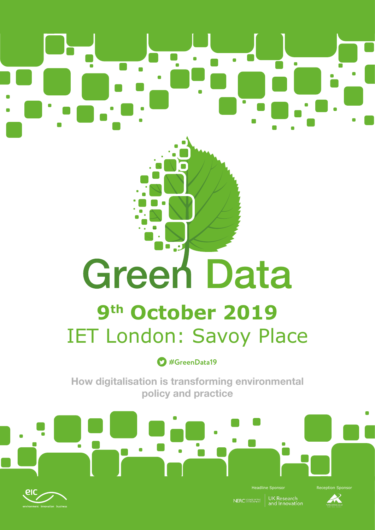# $\blacksquare$  $\blacksquare$ п

# **Green Data**

# **9th October 2019** IET London: Savoy Place

## **#GreenData19**

**How digitalisation is transforming environmental policy and practice**





UK Research<br>and Innovation NERC SCIENCE OF THE

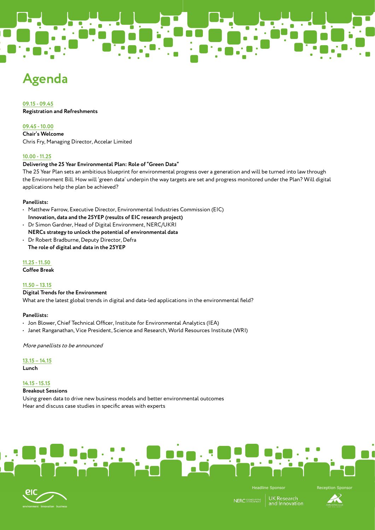# **Agenda**

### **09.15 - 09.45**

**Registration and Refreshments**

#### **09.45 - 10.00**

**Chair's Welcome**  Chris Fry, Managing Director, Accelar Limited

#### **10.00 - 11.25**

#### **Delivering the 25 Year Environmental Plan: Role of "Green Data"**

The 25 Year Plan sets an ambitious blueprint for environmental progress over a generation and will be turned into law through the Environment Bill. How will 'green data' underpin the way targets are set and progress monitored under the Plan? Will digital applications help the plan be achieved?

#### **Panellists:**

- Matthew Farrow, Executive Director, Environmental Industries Commission (EIC) **Innovation, data and the 25YEP (results of EIC research project)**
- Dr Simon Gardner, Head of Digital Environment, NERC/UKRI **NERCs strategy to unlock the potential of environmental data**
- Dr Robert Bradburne, Deputy Director, Defra **The role of digital and data in the 25YEP**

#### **11.25 - 11.50**

**Coffee Break**

#### **11.50 – 13.15**

**Digital Trends for the Environment**  What are the latest global trends in digital and data-led applications in the environmental field?

#### **Panellists:**

- Jon Blower, Chief Technical Officer, Institute for Environmental Analytics (IEA)
- Janet Ranganathan, Vice President, Science and Research, World Resources Institute (WRI)

More panellists to be announced

**13.15 – 14.15**

**Lunch** 

#### **14.15 - 15.15**

**Breakout Sessions**

Using green data to drive new business models and better environmental outcomes Hear and discuss case studies in specific areas with experts





**UK** Research **NERC** SCIENCE and Innovation

Headline Sponsor **Reception Sponsor** 

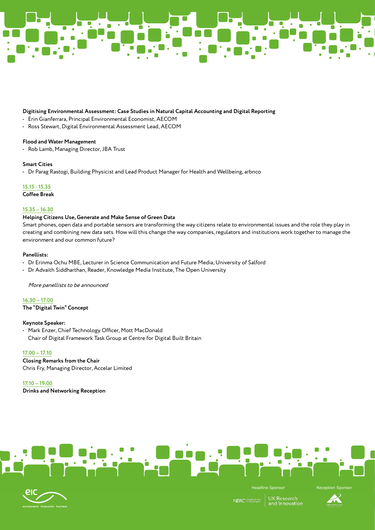

#### **Digitising Environmental Assessment: Case Studies in Natural Capital Accounting and Digital Reporting**

- Erin Gianferrara, Principal Environmental Economist, AECOM
- Ross Stewart, Digital Environmental Assessment Lead, AECOM

#### **Flood and Water Management**

• Rob Lamb, Managing Director, JBA Trust

#### **Smart Cities**

• Dr Parag Rastogi, Building Physicist and Lead Product Manager for Health and Wellbeing, arbnco

**15.15 - 15.35** 

**Coffee Break**

#### **15.35 – 16.30**

#### **Helping Citizens Use, Generate and Make Sense of Green Data**

Smart phones, open data and portable sensors are transforming the way citizens relate to environmental issues and the role they play in creating and combining new data sets. How will this change the way companies, regulators and institutions work together to manage the environment and our common future?

#### **Panellists:**

- Dr Erinma Ochu MBE, Lecturer in Science Communication and Future Media, University of Salford
- Dr Advaith Siddharthan, Reader, Knowledge Media Institute, The Open University

More panellists to be announced

**16.30 – 17.00 The "Digital Twin" Concept** 

#### **Keynote Speaker:**

• Mark Enzer, Chief Technology Officer, Mott MacDonald Chair of Digital Framework Task Group at Centre for Digital Built Britain

#### **17.00 – 17.10**

**Closing Remarks from the Chair** Chris Fry, Managing Director, Accelar Limited

**17.10 – 19.00**

**Drinks and Networking Reception**





UK Research<br>and Innovation NERC SCIENCE OF TH



Headline Sponsor **Reception Sponsor**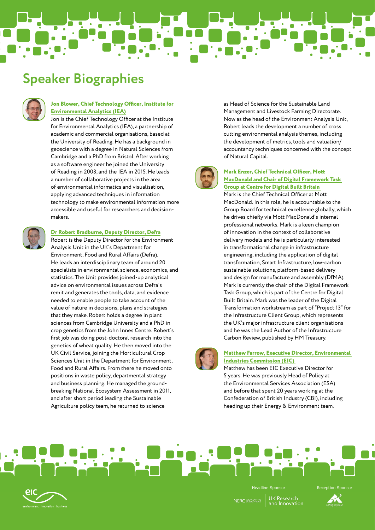## **Speaker Biographies**



#### **Jon Blower, Chief Technology Officer, Institute for Environmental Analytics (IEA)**

Jon is the Chief Technology Officer at the Institute for Environmental Analytics (IEA), a partnership of academic and commercial organisations, based at the University of Reading. He has a background in geoscience with a degree in Natural Sciences from Cambridge and a PhD from Bristol. After working as a software engineer he joined the University of Reading in 2003, and the IEA in 2015. He leads a number of collaborative projects in the area of environmental informatics and visualisation, applying advanced techniques in information technology to make environmental information more accessible and useful for researchers and decisionmakers.



#### **Dr Robert Bradburne, Deputy Director, Defra**

Robert is the Deputy Director for the Environment Analysis Unit in the UK's Department for Environment, Food and Rural Affairs (Defra). He leads an interdisciplinary team of around 20 specialists in environmental science, economics, and statistics. The Unit provides joined-up analytical advice on environmental issues across Defra's remit and generates the tools, data, and evidence needed to enable people to take account of the value of nature in decisions, plans and strategies that they make. Robert holds a degree in plant sciences from Cambridge University and a PhD in crop genetics from the John Innes Centre. Robert's first job was doing post-doctoral research into the genetics of wheat quality. He then moved into the UK Civil Service, joining the Horticultural Crop Sciences Unit in the Department for Environment, Food and Rural Affairs. From there he moved onto positions in waste policy, departmental strategy and business planning. He managed the groundbreaking National Ecosystem Assessment in 2011, and after short period leading the Sustainable Agriculture policy team, he returned to science

as Head of Science for the Sustainable Land Management and Livestock Farming Directorate. Now as the head of the Environment Analysis Unit, Robert leads the development a number of cross cutting environmental analysis themes, including the development of metrics, tools and valuation/ accountancy techniques concerned with the concept of Natural Capital.



#### **Mark Enzer, Chief Technical Officer, Mott MacDonald and Chair of Digital Framework Task Group at Centre for Digital Built Britain**

Mark is the Chief Technical Officer at Mott MacDonald. In this role, he is accountable to the Group Board for technical excellence globally, which he drives chiefly via Mott MacDonald's internal professional networks. Mark is a keen champion of innovation in the context of collaborative delivery models and he is particularly interested in transformational change in infrastructure engineering, including the application of digital transformation, Smart Infrastructure, low-carbon sustainable solutions, platform-based delivery and design for manufacture and assembly (DfMA). Mark is currently the chair of the Digital Framework Task Group, which is part of the Centre for Digital Built Britain. Mark was the leader of the Digital Transformation workstream as part of "Project 13" for the Infrastructure Client Group, which represents the UK's major infrastructure client organisations and he was the Lead Author of the Infrastructure Carbon Review, published by HM Treasury.



#### **Matthew Farrow, Executive Director, Environmental Industries Commission (EIC)**

Matthew has been EIC Executive Director for 5 years. He was previously Head of Policy at the Environmental Services Association (ESA) and before that spent 20 years working at the Confederation of British Industry (CBI), including heading up their Energy & Environment team.





**UK Research NERC** SCIENCE OF T

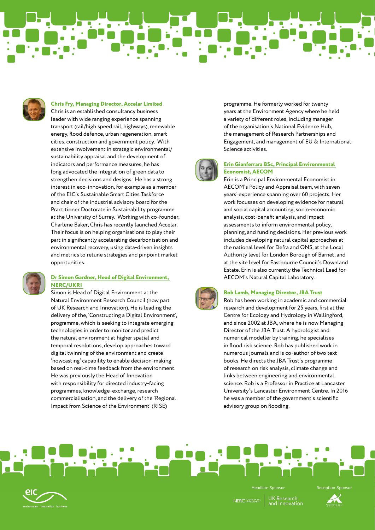

#### **Chris Fry, Managing Director, Accelar Limited**

Chris is an established consultancy business leader with wide ranging experience spanning transport (rail/high speed rail, highways), renewable energy, flood defence, urban regeneration, smart cities, construction and government policy. With extensive involvement in strategic environmental/ sustainability appraisal and the development of indicators and performance measures, he has long advocated the integration of green data to strengthen decisions and designs. He has a strong interest in eco-innovation, for example as a member of the EIC's Sustainable Smart Cities Taskforce and chair of the industrial advisory board for the Practitioner Doctorate in Sustainability programme at the University of Surrey. Working with co-founder, Charlene Baker, Chris has recently launched Accelar. Their focus is on helping organisations to play their part in significantly accelerating decarbonisation and environmental recovery, using data-driven insights and metrics to retune strategies and pinpoint market opportunities.



#### **Dr Simon Gardner, Head of Digital Environment, NERC/UKRI**

Simon is Head of Digital Environment at the Natural Environment Research Council (now part of UK Research and Innovation). He is leading the delivery of the, 'Constructing a Digital Environment', programme, which is seeking to integrate emerging technologies in order to monitor and predict the natural environment at higher spatial and temporal resolutions, develop approaches toward digital twinning of the environment and create 'nowcasting' capability to enable decision-making based on real-time feedback from the environment. He was previously the Head of Innovation with responsibility for directed industry-facing programmes, knowledge-exchange, research commercialisation, and the delivery of the 'Regional Impact from Science of the Environment' (RISE)

programme. He formerly worked for twenty years at the Environment Agency where he held a variety of different roles, including manager of the organisation's National Evidence Hub, the management of Research Partnerships and Engagement, and management of EU & International Science activities.



#### **Erin Gianferrara BSc, Principal Environmental Economist, AECOM**

Erin is a Principal Environmental Economist in AECOM's Policy and Appraisal team, with seven years' experience spanning over 60 projects. Her work focusses on developing evidence for natural and social capital accounting, socio-economic analysis, cost-benefit analysis, and impact assessments to inform environmental policy, planning, and funding decisions. Her previous work includes developing natural capital approaches at the national level for Defra and ONS, at the Local Authority level for London Borough of Barnet, and at the site level for Eastbourne Council's Downland Estate. Erin is also currently the Technical Lead for AECOM's Natural Capital Laboratory.



#### **Rob Lamb, Managing Director, JBA Trust**

Rob has been working in academic and commercial research and development for 25 years, first at the Centre for Ecology and Hydrology in Wallingford, and since 2002 at JBA, where he is now Managing Director of the JBA Trust. A hydrologist and numerical modeller by training, he specialises in flood risk science. Rob has published work in numerous journals and is co-author of two text books. He directs the JBA Trust's programme of research on risk analysis, climate change and links between engineering and environmental science. Rob is a Professor in Practice at Lancaster University's Lancaster Environment Centre. In 2016 he was a member of the government's scientific advisory group on flooding.





**UK Research** NERC SCIENCE OF THE



Headline Sponsor **Reception Sponsor**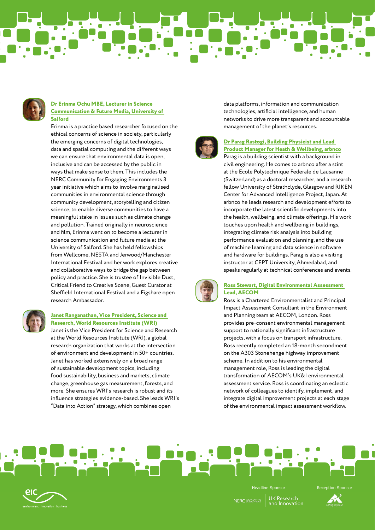

#### **Dr Erinma Ochu MBE, Lecturer in Science Communication & Future Media, University of Salford**

Erinma is a practice based researcher focused on the ethical concerns of science in society, particularly the emerging concerns of digital technologies, data and spatial computing and the different ways we can ensure that environmental data is open, inclusive and can be accessed by the public in ways that make sense to them. This includes the NERC Community for Engaging Environments 3 year initiative which aims to involve marginalised communities in environmental science through community development, storytelling and citizen science, to enable diverse communities to have a meaningful stake in issues such as climate change and pollution. Trained originally in neuroscience and film, Erinma went on to become a lecturer in science communication and future media at the University of Salford. She has held fellowships from Wellcome, NESTA and Jerwood/Manchester International Festival and her work explores creative and collaborative ways to bridge the gap between policy and practice. She is trustee of Invisible Dust, Critical Friend to Creative Scene, Guest Curator at Sheffield International Festival and a Figshare open research Ambassador.



#### **Janet Ranganathan, Vice President, Science and Research, World Resources Institute (WRI)**

Janet is the Vice President for Science and Research at the World Resources Institute (WRI), a global research organization that works at the intersection of environment and development in 50+ countries. Janet has worked extensively on a broad range of sustainable development topics, including food sustainability, business and markets, climate change, greenhouse gas measurement, forests, and more. She ensures WRI's research is robust and its influence strategies evidence-based. She leads WRI's "Data into Action" strategy, which combines open

data platforms, information and communication technologies, artificial intelligence, and human networks to drive more transparent and accountable management of the planet's resources.



#### **Dr Parag Rastogi, Building Physicist and Lead Product Manager for Heath & Wellbeing, arbnco**

Parag is a building scientist with a background in civil engineering. He comes to arbnco after a stint at the Ecole Polytechnique Federale de Lausanne (Switzerland) as a doctoral researcher, and a research fellow University of Strathclyde, Glasgow and RIKEN Center for Advanced Intelligence Project, Japan. At arbnco he leads research and development efforts to incorporate the latest scientific developments into the health, wellbeing, and climate offerings. His work touches upon health and wellbeing in buildings, integrating climate risk analysis into building performance evaluation and planning, and the use of machine learning and data science in software and hardware for buildings. Parag is also a visiting instructor at CEPT University, Ahmedabad, and speaks regularly at technical conferences and events.



#### **Ross Stewart, Digital Environmental Assessment Lead, AECOM**

Ross is a Chartered Environmentalist and Principal Impact Assessment Consultant in the Environment and Planning team at AECOM, London. Ross provides pre-consent environmental management support to nationally significant infrastructure projects, with a focus on transport infrastructure. Ross recently completed an 18-month secondment on the A303 Stonehenge highway improvement scheme. In addition to his environmental management role, Ross is leading the digital transformation of AECOM's UK&I environmental assessment service. Ross is coordinating an eclectic network of colleagues to identify, implement, and integrate digital improvement projects at each stage of the environmental impact assessment workflow.



Headline Sponsor **Reception Sponsor UK Research** NERC SCIENCE OF T

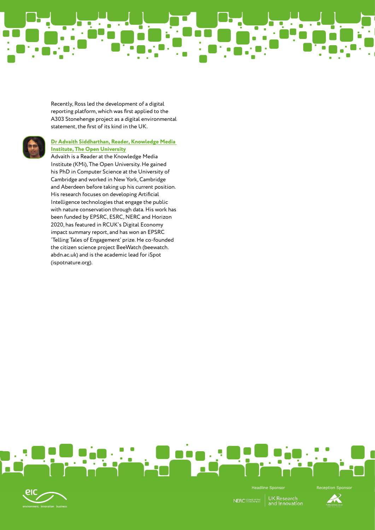Recently, Ross led the development of a digital reporting platform, which was first applied to the A303 Stonehenge project as a digital environmental statement, the first of its kind in the UK.

#### **Dr Advaith Siddharthan, Reader, Knowledge Media Institute, The Open University**

Advaith is a Reader at the Knowledge Media Institute (KMi), The Open University. He gained his PhD in Computer Science at the University of Cambridge and worked in New York, Cambridge and Aberdeen before taking up his current position. His research focuses on developing Artificial Intelligence technologies that engage the public with nature conservation through data. His work has been funded by EPSRC, ESRC, NERC and Horizon 2020, has featured in RCUK's Digital Economy impact summary report, and has won an EPSRC 'Telling Tales of Engagement' prize. He co-founded the citizen science project BeeWatch (beewatch. abdn.ac.uk) and is the academic lead for iSpot (ispotnature.org).





UK Research<br>and Innovation NERC SCIENCE OF THE